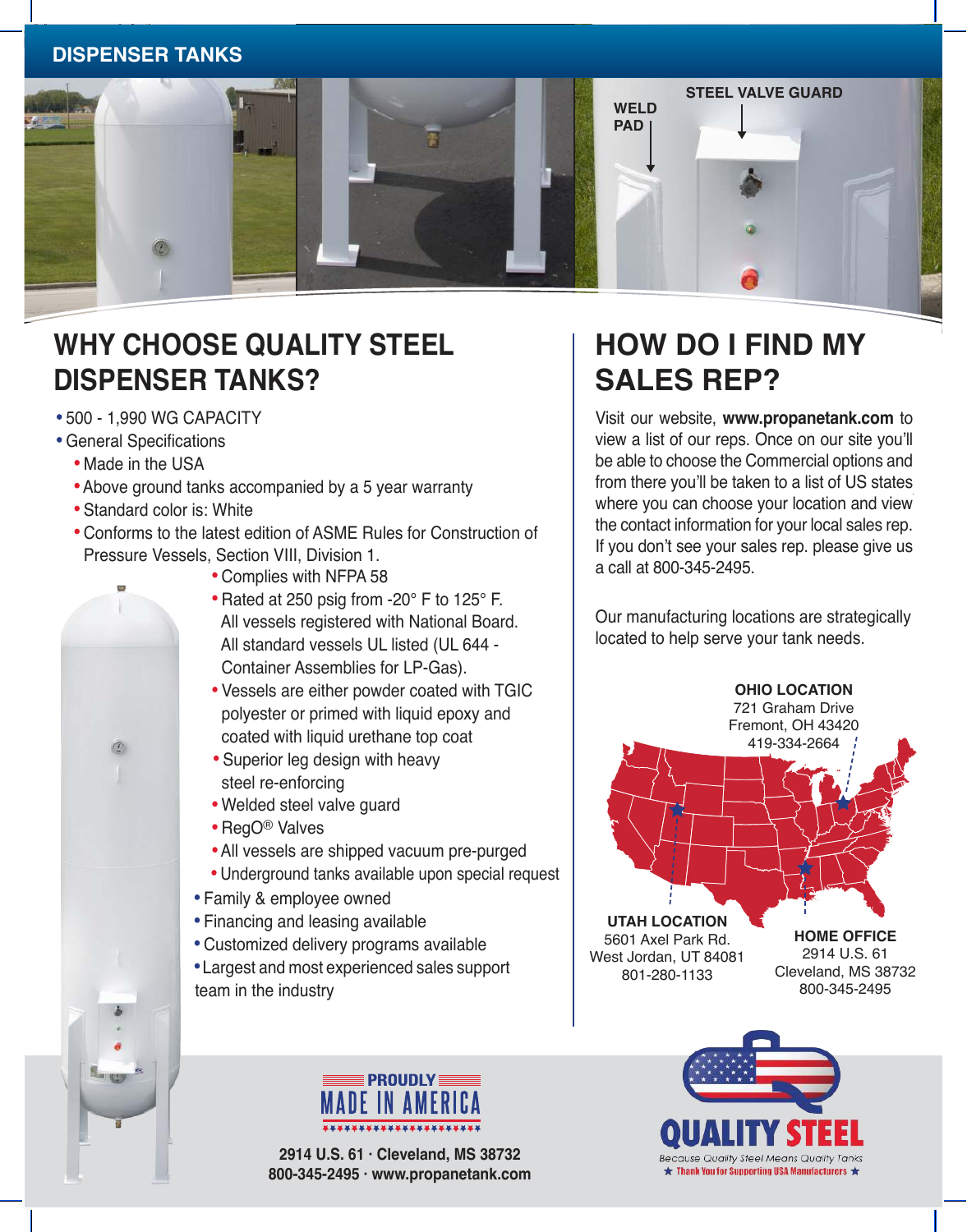### **DISPENSER TANKS**



# **WHY CHOOSE QUALITY STEEL DISPENSER TANKS?**

- · 500 1,990 WG CAPACITY
- · General Specifications
	- Made in the USA

 $\circledR$ 

- · Above ground tanks accompanied by a 5 year warranty
- · Standard color is: White
- · Conforms to the latest edition of ASME Rules for Construction of Pressure Vessels, Section VIII, Division 1.
	- · Complies with NFPA 58
	- · Rated at 250 psig from -20° F to 125° F. All vessels registered with National Board. All standard vessels UL listed (UL 644 - Container Assemblies for LP-Gas).
	- · Vessels are either powder coated with TGIC polyester or primed with liquid epoxy and coated with liquid urethane top coat
	- · Superior leg design with heavy steel re-enforcing
	- · Welded steel valve guard
	- · RegO® Valves
	- · All vessels are shipped vacuum pre-purged
	- · Underground tanks available upon special request
	- · Family & employee owned
	- · Financing and leasing available
	- · Customized delivery programs available
	- · Largest and most experienced sales support team in the industry

## **PROUDLY DE IN AMERICI**

**2914 U.S. 61 · Cleveland, MS 38732 800-345-2495 · www.propanetank.com**

## **HOW DO I FIND MY SALES REP?**

Visit our website, **www.propanetank.com** to view a list of our reps. Once on our site you'll be able to choose the Commercial options and from there you'll be taken to a list of US states where you can choose your location and view the contact information for your local sales rep. If you don't see your sales rep. please give us a call at 800-345-2495.

Our manufacturing locations are strategically located to help serve your tank needs.